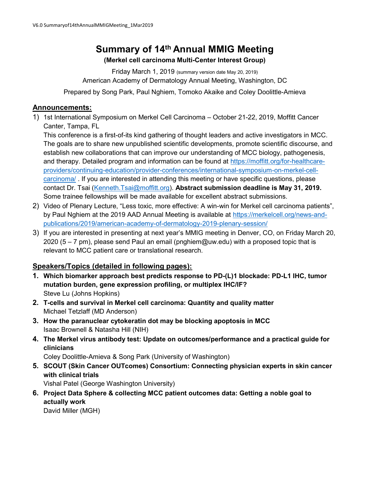# Summary of 14th Annual MMIG Meeting

## (Merkel cell carcinoma Multi-Center Interest Group)

Friday March 1, 2019 (summary version date May 20, 2019) American Academy of Dermatology Annual Meeting, Washington, DC

Prepared by Song Park, Paul Nghiem, Tomoko Akaike and Coley Doolittle-Amieva

# Announcements:

1) 1st International Symposium on Merkel Cell Carcinoma – October 21-22, 2019, Moffitt Cancer Canter, Tampa, FL

This conference is a first-of-its kind gathering of thought leaders and active investigators in MCC. The goals are to share new unpublished scientific developments, promote scientific discourse, and establish new collaborations that can improve our understanding of MCC biology, pathogenesis, and therapy. Detailed program and information can be found at https://moffitt.org/for-healthcareproviders/continuing-education/provider-conferences/international-symposium-on-merkel-cellcarcinoma/ . If you are interested in attending this meeting or have specific questions, please contact Dr. Tsai (Kenneth.Tsai@moffitt.org). Abstract submission deadline is May 31, 2019. Some trainee fellowships will be made available for excellent abstract submissions.

- 2) Video of Plenary Lecture, "Less toxic, more effective: A win-win for Merkel cell carcinoma patients", by Paul Nghiem at the 2019 AAD Annual Meeting is available at https://merkelcell.org/news-andpublications/2019/american-academy-of-dermatology-2019-plenary-session/
- 3) If you are interested in presenting at next year's MMIG meeting in Denver, CO, on Friday March 20, 2020 (5 – 7 pm), please send Paul an email (pnghiem@uw.edu) with a proposed topic that is relevant to MCC patient care or translational research.

# Speakers/Topics (detailed in following pages):

- 1. Which biomarker approach best predicts response to PD-(L)1 blockade: PD-L1 IHC, tumor mutation burden, gene expression profiling, or multiplex IHC/IF? Steve Lu (Johns Hopkins)
- 2. T-cells and survival in Merkel cell carcinoma: Quantity and quality matter Michael Tetzlaff (MD Anderson)
- 3. How the paranuclear cytokeratin dot may be blocking apoptosis in MCC Isaac Brownell & Natasha Hill (NIH)
- 4. The Merkel virus antibody test: Update on outcomes/performance and a practical guide for clinicians

Coley Doolittle-Amieva & Song Park (University of Washington)

5. SCOUT (Skin Cancer OUTcomes) Consortium: Connecting physician experts in skin cancer with clinical trials

Vishal Patel (George Washington University)

6. Project Data Sphere & collecting MCC patient outcomes data: Getting a noble goal to actually work

David Miller (MGH)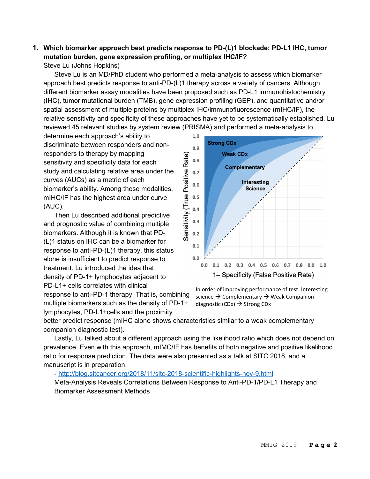# 1. Which biomarker approach best predicts response to PD-(L)1 blockade: PD-L1 IHC, tumor mutation burden, gene expression profiling, or multiplex IHC/IF?

Steve Lu (Johns Hopkins)

Steve Lu is an MD/PhD student who performed a meta-analysis to assess which biomarker approach best predicts response to anti-PD-(L)1 therapy across a variety of cancers. Although different biomarker assay modalities have been proposed such as PD-L1 immunohistochemistry (IHC), tumor mutational burden (TMB), gene expression profiling (GEP), and quantitative and/or spatial assessment of multiple proteins by multiplex IHC/immunofluorescence (mIHC/IF), the relative sensitivity and specificity of these approaches have yet to be systematically established. Lu reviewed 45 relevant studies by system review (PRISMA) and performed a meta-analysis to

determine each approach's ability to discriminate between responders and nonresponders to therapy by mapping sensitivity and specificity data for each study and calculating relative area under the curves (AUCs) as a metric of each biomarker's ability. Among these modalities, mIHC/IF has the highest area under curve (AUC).

Then Lu described additional predictive and prognostic value of combining multiple biomarkers. Although it is known that PD- (L)1 status on IHC can be a biomarker for response to anti-PD-(L)1 therapy, this status alone is insufficient to predict response to treatment. Lu introduced the idea that density of PD-1+ lymphocytes adjacent to PD-L1+ cells correlates with clinical

response to anti-PD-1 therapy. That is, combining multiple biomarkers such as the density of PD-1+ lymphocytes, PD-L1+cells and the proximity



In order of improving performance of test: Interesting science  $\rightarrow$  Complementary  $\rightarrow$  Weak Companion diagnostic (CDx)  $\rightarrow$  Strong CDx

better predict response (mIHC alone shows characteristics similar to a weak complementary companion diagnostic test).

Lastly, Lu talked about a different approach using the likelihood ratio which does not depend on prevalence. Even with this approach, mIMC/IF has benefits of both negative and positive likelihood ratio for response prediction. The data were also presented as a talk at SITC 2018, and a manuscript is in preparation.

#### - http://blog.sitcancer.org/2018/11/sitc-2018-scientific-highlights-nov-9.html

Meta-Analysis Reveals Correlations Between Response to Anti-PD-1/PD-L1 Therapy and Biomarker Assessment Methods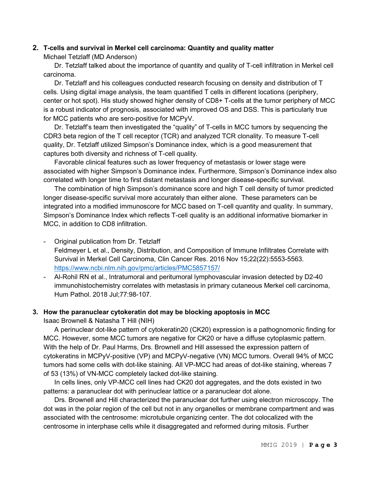#### 2. T-cells and survival in Merkel cell carcinoma: Quantity and quality matter

Michael Tetzlaff (MD Anderson)

Dr. Tetzlaff talked about the importance of quantity and quality of T-cell infiltration in Merkel cell carcinoma.

Dr. Tetzlaff and his colleagues conducted research focusing on density and distribution of T cells. Using digital image analysis, the team quantified T cells in different locations (periphery, center or hot spot). His study showed higher density of CD8+ T-cells at the tumor periphery of MCC is a robust indicator of prognosis, associated with improved OS and DSS. This is particularly true for MCC patients who are sero-positive for MCPyV.

Dr. Tetzlaff's team then investigated the "quality" of T-cells in MCC tumors by sequencing the CDR3 beta region of the T cell receptor (TCR) and analyzed TCR clonality. To measure T-cell quality, Dr. Tetzlaff utilized Simpson's Dominance index, which is a good measurement that captures both diversity and richness of T-cell quality.

Favorable clinical features such as lower frequency of metastasis or lower stage were associated with higher Simpson's Dominance index. Furthermore, Simpson's Dominance index also correlated with longer time to first distant metastasis and longer disease-specific survival.

The combination of high Simpson's dominance score and high T cell density of tumor predicted longer disease-specific survival more accurately than either alone. These parameters can be integrated into a modified immunoscore for MCC based on T-cell quantity and quality. In summary, Simpson's Dominance Index which reflects T-cell quality is an additional informative biomarker in MCC, in addition to CD8 infiltration.

- Original publication from Dr. Tetzlaff Feldmeyer L et al., Density, Distribution, and Composition of Immune Infiltrates Correlate with Survival in Merkel Cell Carcinoma, Clin Cancer Res. 2016 Nov 15;22(22):5553-5563. https://www.ncbi.nlm.nih.gov/pmc/articles/PMC5857157/
- Al-Rohil RN et al., Intratumoral and peritumoral lymphovascular invasion detected by D2-40 immunohistochemistry correlates with metastasis in primary cutaneous Merkel cell carcinoma, Hum Pathol. 2018 Jul;77:98-107.

#### 3. How the paranuclear cytokeratin dot may be blocking apoptosis in MCC

Isaac Brownell & Natasha T Hill (NIH)

A perinuclear dot-like pattern of cytokeratin20 (CK20) expression is a pathognomonic finding for MCC. However, some MCC tumors are negative for CK20 or have a diffuse cytoplasmic pattern. With the help of Dr. Paul Harms, Drs. Brownell and Hill assessed the expression pattern of cytokeratins in MCPyV-positive (VP) and MCPyV-negative (VN) MCC tumors. Overall 94% of MCC tumors had some cells with dot-like staining. All VP-MCC had areas of dot-like staining, whereas 7 of 53 (13%) of VN-MCC completely lacked dot-like staining.

In cells lines, only VP-MCC cell lines had CK20 dot aggregates, and the dots existed in two patterns: a paranuclear dot with perinuclear lattice or a paranuclear dot alone.

Drs. Brownell and Hill characterized the paranuclear dot further using electron microscopy. The dot was in the polar region of the cell but not in any organelles or membrane compartment and was associated with the centrosome: microtubule organizing center. The dot colocalized with the centrosome in interphase cells while it disaggregated and reformed during mitosis. Further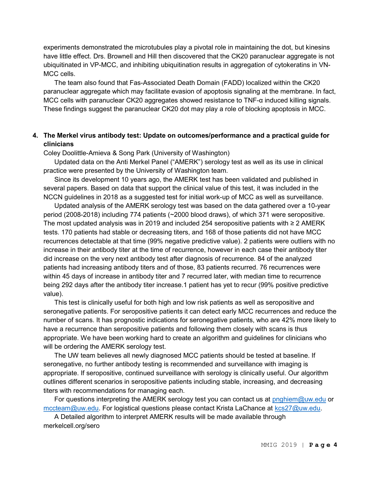experiments demonstrated the microtubules play a pivotal role in maintaining the dot, but kinesins have little effect. Drs. Brownell and Hill then discovered that the CK20 paranuclear aggregate is not ubiquitinated in VP-MCC, and inhibiting ubiquitination results in aggregation of cytokeratins in VN-MCC cells.

The team also found that Fas-Associated Death Domain (FADD) localized within the CK20 paranuclear aggregate which may facilitate evasion of apoptosis signaling at the membrane. In fact, MCC cells with paranuclear CK20 aggregates showed resistance to TNF-α induced killing signals. These findings suggest the paranuclear CK20 dot may play a role of blocking apoptosis in MCC.

#### 4. The Merkel virus antibody test: Update on outcomes/performance and a practical guide for clinicians

Coley Doolittle-Amieva & Song Park (University of Washington)

Updated data on the Anti Merkel Panel ("AMERK") serology test as well as its use in clinical practice were presented by the University of Washington team.

Since its development 10 years ago, the AMERK test has been validated and published in several papers. Based on data that support the clinical value of this test, it was included in the NCCN guidelines in 2018 as a suggested test for initial work-up of MCC as well as surveillance.

Updated analysis of the AMERK serology test was based on the data gathered over a 10-year period (2008-2018) including 774 patients (~2000 blood draws), of which 371 were seropositive. The most updated analysis was in 2019 and included 254 seropositive patients with ≥ 2 AMERK tests. 170 patients had stable or decreasing titers, and 168 of those patients did not have MCC recurrences detectable at that time (99% negative predictive value). 2 patients were outliers with no increase in their antibody titer at the time of recurrence, however in each case their antibody titer did increase on the very next antibody test after diagnosis of recurrence. 84 of the analyzed patients had increasing antibody titers and of those, 83 patients recurred. 76 recurrences were within 45 days of increase in antibody titer and 7 recurred later, with median time to recurrence being 292 days after the antibody titer increase.1 patient has yet to recur (99% positive predictive value).

This test is clinically useful for both high and low risk patients as well as seropositive and seronegative patients. For seropositive patients it can detect early MCC recurrences and reduce the number of scans. It has prognostic indications for seronegative patients, who are 42% more likely to have a recurrence than seropositive patients and following them closely with scans is thus appropriate. We have been working hard to create an algorithm and guidelines for clinicians who will be ordering the AMERK serology test.

The UW team believes all newly diagnosed MCC patients should be tested at baseline. If seronegative, no further antibody testing is recommended and surveillance with imaging is appropriate. If seropositive, continued surveillance with serology is clinically useful. Our algorithm outlines different scenarios in seropositive patients including stable, increasing, and decreasing titers with recommendations for managing each.

For questions interpreting the AMERK serology test you can contact us at pnghiem@uw.edu or mccteam@uw.edu. For logistical questions please contact Krista LaChance at kcs27@uw.edu.

A Detailed algorithm to interpret AMERK results will be made available through merkelcell.org/sero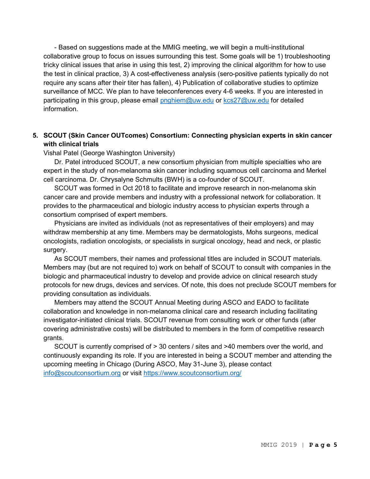- Based on suggestions made at the MMIG meeting, we will begin a multi-institutional collaborative group to focus on issues surrounding this test. Some goals will be 1) troubleshooting tricky clinical issues that arise in using this test, 2) improving the clinical algorithm for how to use the test in clinical practice, 3) A cost-effectiveness analysis (sero-positive patients typically do not require any scans after their titer has fallen), 4) Publication of collaborative studies to optimize surveillance of MCC. We plan to have teleconferences every 4-6 weeks. If you are interested in participating in this group, please email pnghiem@uw.edu or kcs27@uw.edu for detailed information.

## 5. SCOUT (Skin Cancer OUTcomes) Consortium: Connecting physician experts in skin cancer with clinical trials

Vishal Patel (George Washington University)

Dr. Patel introduced SCOUT, a new consortium physician from multiple specialties who are expert in the study of non-melanoma skin cancer including squamous cell carcinoma and Merkel cell carcinoma. Dr. Chrysalyne Schmults (BWH) is a co-founder of SCOUT.

SCOUT was formed in Oct 2018 to facilitate and improve research in non-melanoma skin cancer care and provide members and industry with a professional network for collaboration. It provides to the pharmaceutical and biologic industry access to physician experts through a consortium comprised of expert members.

Physicians are invited as individuals (not as representatives of their employers) and may withdraw membership at any time. Members may be dermatologists, Mohs surgeons, medical oncologists, radiation oncologists, or specialists in surgical oncology, head and neck, or plastic surgery.

As SCOUT members, their names and professional titles are included in SCOUT materials. Members may (but are not required to) work on behalf of SCOUT to consult with companies in the biologic and pharmaceutical industry to develop and provide advice on clinical research study protocols for new drugs, devices and services. Of note, this does not preclude SCOUT members for providing consultation as individuals.

Members may attend the SCOUT Annual Meeting during ASCO and EADO to facilitate collaboration and knowledge in non-melanoma clinical care and research including facilitating investigator-initiated clinical trials. SCOUT revenue from consulting work or other funds (after covering administrative costs) will be distributed to members in the form of competitive research grants.

SCOUT is currently comprised of > 30 centers / sites and >40 members over the world, and continuously expanding its role. If you are interested in being a SCOUT member and attending the upcoming meeting in Chicago (During ASCO, May 31-June 3), please contact info@scoutconsortium.org or visit https://www.scoutconsortium.org/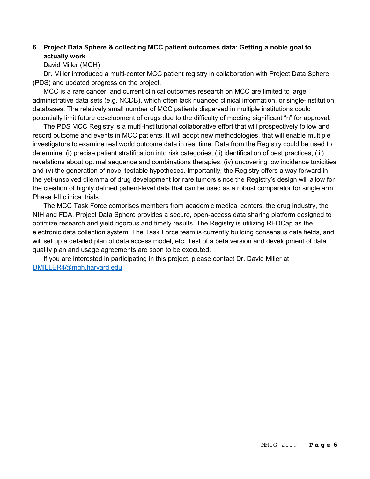## 6. Project Data Sphere & collecting MCC patient outcomes data: Getting a noble goal to actually work

David Miller (MGH)

Dr. Miller introduced a multi-center MCC patient registry in collaboration with Project Data Sphere (PDS) and updated progress on the project.

MCC is a rare cancer, and current clinical outcomes research on MCC are limited to large administrative data sets (e.g. NCDB), which often lack nuanced clinical information, or single-institution databases. The relatively small number of MCC patients dispersed in multiple institutions could potentially limit future development of drugs due to the difficulty of meeting significant "n" for approval.

The PDS MCC Registry is a multi-institutional collaborative effort that will prospectively follow and record outcome and events in MCC patients. It will adopt new methodologies, that will enable multiple investigators to examine real world outcome data in real time. Data from the Registry could be used to determine: (i) precise patient stratification into risk categories, (ii) identification of best practices, (iii) revelations about optimal sequence and combinations therapies, (iv) uncovering low incidence toxicities and (v) the generation of novel testable hypotheses. Importantly, the Registry offers a way forward in the yet-unsolved dilemma of drug development for rare tumors since the Registry's design will allow for the creation of highly defined patient-level data that can be used as a robust comparator for single arm Phase I-II clinical trials.

The MCC Task Force comprises members from academic medical centers, the drug industry, the NIH and FDA. Project Data Sphere provides a secure, open-access data sharing platform designed to optimize research and yield rigorous and timely results. The Registry is utilizing REDCap as the electronic data collection system. The Task Force team is currently building consensus data fields, and will set up a detailed plan of data access model, etc. Test of a beta version and development of data quality plan and usage agreements are soon to be executed.

If you are interested in participating in this project, please contact Dr. David Miller at DMILLER4@mgh.harvard.edu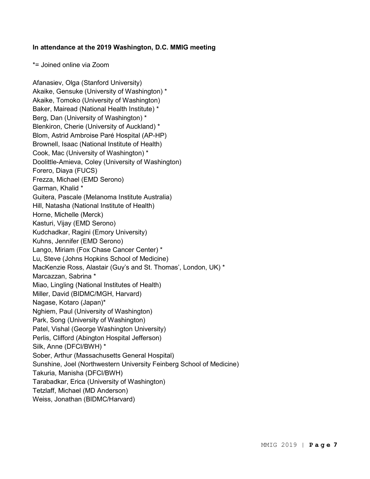#### In attendance at the 2019 Washington, D.C. MMIG meeting

\*= Joined online via Zoom

Afanasiev, Olga (Stanford University) Akaike, Gensuke (University of Washington) \* Akaike, Tomoko (University of Washington) Baker, Mairead (National Health Institute) \* Berg, Dan (University of Washington) \* Blenkiron, Cherie (University of Auckland) \* Blom, Astrid Ambroise Paré Hospital (AP-HP) Brownell, Isaac (National Institute of Health) Cook, Mac (University of Washington) \* Doolittle-Amieva, Coley (University of Washington) Forero, Diaya (FUCS) Frezza, Michael (EMD Serono) Garman, Khalid \* Guitera, Pascale (Melanoma Institute Australia) Hill, Natasha (National Institute of Health) Horne, Michelle (Merck) Kasturi, Vijay (EMD Serono) Kudchadkar, Ragini (Emory University) Kuhns, Jennifer (EMD Serono) Lango, Miriam (Fox Chase Cancer Center) \* Lu, Steve (Johns Hopkins School of Medicine) MacKenzie Ross, Alastair (Guy's and St. Thomas', London, UK) \* Marcazzan, Sabrina \* Miao, Lingling (National Institutes of Health) Miller, David (BIDMC/MGH, Harvard) Nagase, Kotaro (Japan)\* Nghiem, Paul (University of Washington) Park, Song (University of Washington) Patel, Vishal (George Washington University) Perlis, Clifford (Abington Hospital Jefferson) Silk, Anne (DFCI/BWH) \* Sober, Arthur (Massachusetts General Hospital) Sunshine, Joel (Northwestern University Feinberg School of Medicine) Takuria, Manisha (DFCI/BWH) Tarabadkar, Erica (University of Washington) Tetzlaff, Michael (MD Anderson) Weiss, Jonathan (BIDMC/Harvard)